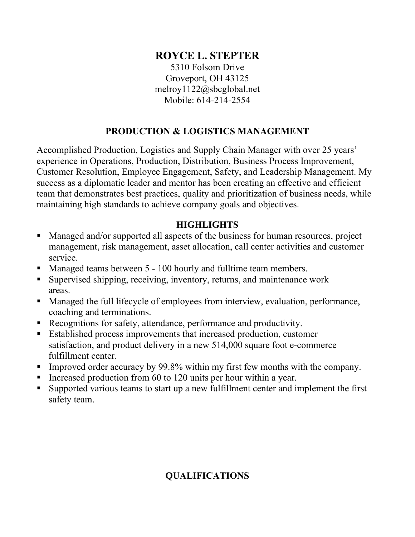# **ROYCE L. STEPTER**

5310 Folsom Drive Groveport, OH 43125 melroy1122@sbcglobal.net Mobile: 614-214-2554

# **PRODUCTION & LOGISTICS MANAGEMENT**

Accomplished Production, Logistics and Supply Chain Manager with over 25 years' experience in Operations, Production, Distribution, Business Process Improvement, Customer Resolution, Employee Engagement, Safety, and Leadership Management. My success as a diplomatic leader and mentor has been creating an effective and efficient team that demonstrates best practices, quality and prioritization of business needs, while maintaining high standards to achieve company goals and objectives.

# **HIGHLIGHTS**

- Managed and/or supported all aspects of the business for human resources, project management, risk management, asset allocation, call center activities and customer service.
- Managed teams between 5 100 hourly and fulltime team members.
- Supervised shipping, receiving, inventory, returns, and maintenance work areas.
- Managed the full lifecycle of employees from interview, evaluation, performance, coaching and terminations.
- Recognitions for safety, attendance, performance and productivity.
- Established process improvements that increased production, customer satisfaction, and product delivery in a new 514,000 square foot e-commerce fulfillment center.
- Improved order accuracy by 99.8% within my first few months with the company.
- Increased production from 60 to 120 units per hour within a year.
- Supported various teams to start up a new fulfillment center and implement the first safety team.

# **QUALIFICATIONS**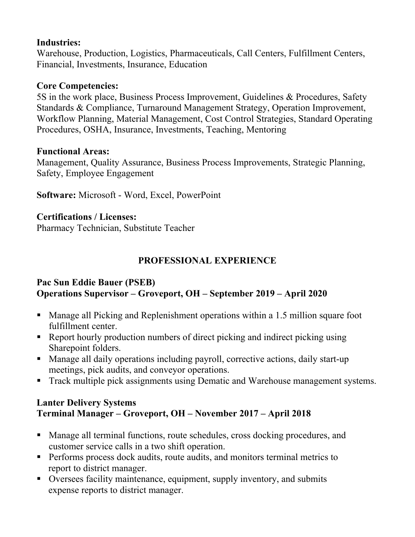## **Industries:**

Warehouse, Production, Logistics, Pharmaceuticals, Call Centers, Fulfillment Centers, Financial, Investments, Insurance, Education

### **Core Competencies:**

5S in the work place, Business Process Improvement, Guidelines & Procedures, Safety Standards & Compliance, Turnaround Management Strategy, Operation Improvement, Workflow Planning, Material Management, Cost Control Strategies, Standard Operating Procedures, OSHA, Insurance, Investments, Teaching, Mentoring

#### **Functional Areas:**

Management, Quality Assurance, Business Process Improvements, Strategic Planning, Safety, Employee Engagement

**Software:** Microsoft - Word, Excel, PowerPoint

### **Certifications / Licenses:**

Pharmacy Technician, Substitute Teacher

## **PROFESSIONAL EXPERIENCE**

### **Pac Sun Eddie Bauer (PSEB) Operations Supervisor – Groveport, OH – September 2019 – April 2020**

- Manage all Picking and Replenishment operations within a 1.5 million square foot fulfillment center.
- Report hourly production numbers of direct picking and indirect picking using Sharepoint folders.
- Manage all daily operations including payroll, corrective actions, daily start-up meetings, pick audits, and conveyor operations.
- **Track multiple pick assignments using Dematic and Warehouse management systems.**

### **Lanter Delivery Systems Terminal Manager – Groveport, OH – November 2017 – April 2018**

- Manage all terminal functions, route schedules, cross docking procedures, and customer service calls in a two shift operation.
- **Performs process dock audits, route audits, and monitors terminal metrics to** report to district manager.
- Oversees facility maintenance, equipment, supply inventory, and submits expense reports to district manager.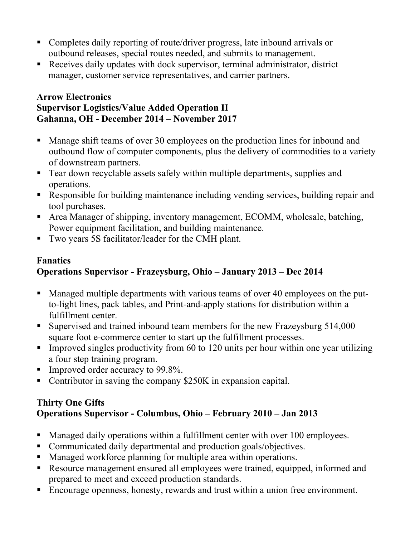- Completes daily reporting of route/driver progress, late inbound arrivals or outbound releases, special routes needed, and submits to management.
- Receives daily updates with dock supervisor, terminal administrator, district manager, customer service representatives, and carrier partners.

#### **Arrow Electronics Supervisor Logistics/Value Added Operation II Gahanna, OH - December 2014 – November 2017**

- Manage shift teams of over 30 employees on the production lines for inbound and outbound flow of computer components, plus the delivery of commodities to a variety of downstream partners.
- Tear down recyclable assets safely within multiple departments, supplies and operations.
- Responsible for building maintenance including vending services, building repair and tool purchases.
- Area Manager of shipping, inventory management, ECOMM, wholesale, batching, Power equipment facilitation, and building maintenance.
- Two years 5S facilitator/leader for the CMH plant.

### **Fanatics Operations Supervisor - Frazeysburg, Ohio – January 2013 – Dec 2014**

- Managed multiple departments with various teams of over 40 employees on the putto-light lines, pack tables, and Print-and-apply stations for distribution within a fulfillment center.
- Supervised and trained inbound team members for the new Frazeysburg 514,000 square foot e-commerce center to start up the fulfillment processes.
- Improved singles productivity from  $60$  to 120 units per hour within one year utilizing a four step training program.
- Improved order accuracy to  $99.8\%$ .
- Contributor in saving the company \$250K in expansion capital.

# **Thirty One Gifts Operations Supervisor - Columbus, Ohio – February 2010 – Jan 2013**

- Managed daily operations within a fulfillment center with over 100 employees.
- Communicated daily departmental and production goals/objectives.
- Managed workforce planning for multiple area within operations.
- Resource management ensured all employees were trained, equipped, informed and prepared to meet and exceed production standards.
- Encourage openness, honesty, rewards and trust within a union free environment.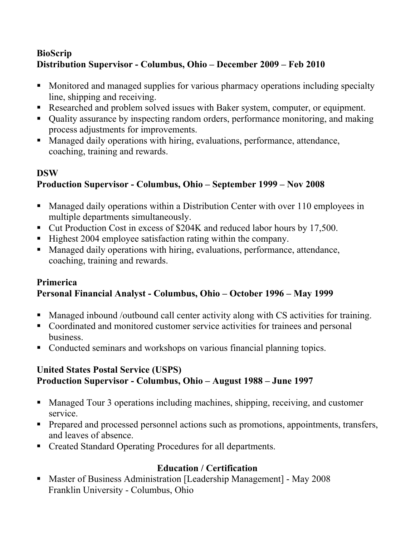# **BioScrip Distribution Supervisor - Columbus, Ohio – December 2009 – Feb 2010**

- Monitored and managed supplies for various pharmacy operations including specialty line, shipping and receiving.
- Researched and problem solved issues with Baker system, computer, or equipment.
- Quality assurance by inspecting random orders, performance monitoring, and making process adjustments for improvements.
- Managed daily operations with hiring, evaluations, performance, attendance, coaching, training and rewards.

# **DSW Production Supervisor - Columbus, Ohio – September 1999 – Nov 2008**

- Managed daily operations within a Distribution Center with over 110 employees in multiple departments simultaneously.
- Cut Production Cost in excess of \$204K and reduced labor hours by 17,500.
- Highest 2004 employee satisfaction rating within the company.
- Managed daily operations with hiring, evaluations, performance, attendance, coaching, training and rewards.

## **Primerica Personal Financial Analyst - Columbus, Ohio – October 1996 – May 1999**

- Managed inbound /outbound call center activity along with CS activities for training.
- Coordinated and monitored customer service activities for trainees and personal business.
- Conducted seminars and workshops on various financial planning topics.

# **United States Postal Service (USPS) Production Supervisor - Columbus, Ohio – August 1988 – June 1997**

- Managed Tour 3 operations including machines, shipping, receiving, and customer service.
- **Prepared and processed personnel actions such as promotions, appointments, transfers,** and leaves of absence.
- Created Standard Operating Procedures for all departments.

# **Education / Certification**

 Master of Business Administration [Leadership Management] - May 2008 Franklin University - Columbus, Ohio